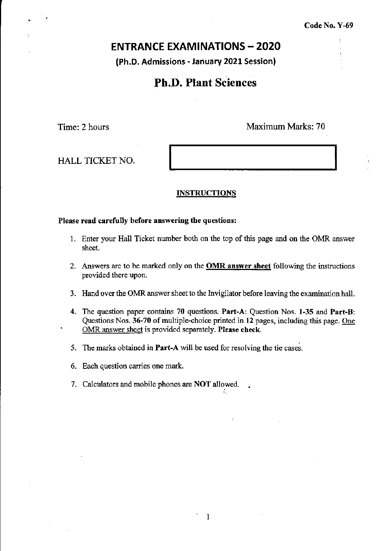# **ENTRANCE EXAMINATIONS - 2020**

(Ph.D. Admissions - January 2021 Session)

# Ph.D. Plant Sciences

Time: 2 hours Maximum Marks: 70

HALL TICKET NO.

#### INSTRUCTIONS

### Please read carefully before answering the questions:

- 1. Enter your Hall Ticket number both on the top of this page and on the OMR answer sheet.
- 2. Answers are to be marked only on the OMR answer sheet following the instructions provided there upon.
- 3. Hand over the OMR answer sheet to the Invigilator before leaving the examination hall.
- 4. The question paper contains 70 questions: Part-A: Question Nos. 1-35 and Part-B: Questions Nos. 36-70 of multiple-choice printed in 12 pages, including this page. One OMR answer sheet is provided separately. Please check.

'.

. 1

- 5. The marks obtained in Part-A will be used for resolving the tie cases.
- 6. Each question carries one mark.
- 7. Calculators and mobile phones are NOT allowed.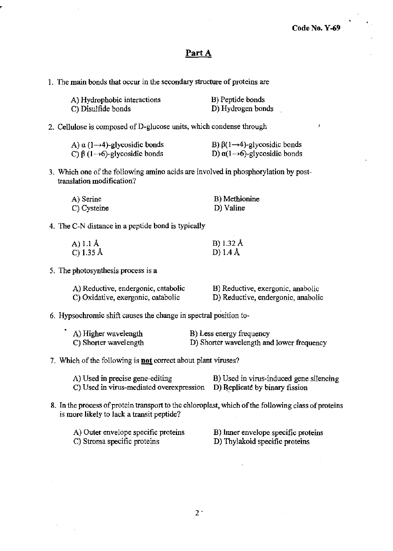# Part A

1. The main bonds that occur in the secondary structure of proteins are

| A) Hydrophobic interactions | B) Peptide bonds  |
|-----------------------------|-------------------|
| C) Disulfide bonds          | D) Hydrogen bonds |

## 2. Cellulose is composed ofD-glucose units, which condense through

| A) $\alpha$ (1 $\rightarrow$ 4)-glycosidic bonds | B) $\beta(1\rightarrow 4)$ -glycosidic bonds   |  |
|--------------------------------------------------|------------------------------------------------|--|
| C) $\beta$ (1 $\rightarrow$ 6)-glycosidic bonds  | D) $\alpha(1 \rightarrow 6)$ -glycosidic bonds |  |

3. Which one of the following amino acids are involved in phosphorylation by posttranslation modification?

| A) Serine   | B) Methionine |
|-------------|---------------|
| C) Cysteine | D) Valine     |

4. The C-N distance in a peptide bond is typically

| A) 1.1 Å  | B) 1.32 Å |
|-----------|-----------|
| C) 1.35 Å | D) 1.4 Å  |

5. The photosynthesis process is a

 $\ddot{\phantom{0}}$ 

| A) Reductive, endergonic, catabolic | B) Reductive, exergonic, anabolic  |
|-------------------------------------|------------------------------------|
| C) Oxidative, exergonic, catabolic  | D) Reductive, endergonic, anabolic |

6. Hypsochromic shift causes the change in spectral position to-

| A) Higher wavelength  | B) Less energy frequency                  |
|-----------------------|-------------------------------------------|
| C) Shorter wavelength | D) Shorter wavelength and lower frequency |

## 7. Which of the following is **not** correct about plant viruses?

| A) Used in precise gene-editing                                         | B) Used in virus-induced gene silencing |
|-------------------------------------------------------------------------|-----------------------------------------|
| C) Used in virus-mediated overexpression D) Replicate by binary fission |                                         |

8. In the process of protein transport to the chloroplast, which of the following class of proteins is more likely to lack a transit peptide?

| A) Outer envelope specific proteins | B) Inner envelope specific proteins |
|-------------------------------------|-------------------------------------|
| C) Stroma specific proteins         | D) Thylakoid specific proteins      |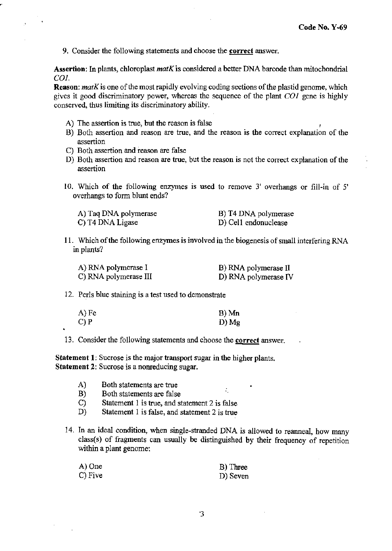9. Consider the following statements and choose the correct answer.

Assertion: In plants, chloroplast *matK* is considered a better DNA barcode than mitochondrial *COl.* 

Reason: *matK* is one of the most rapidly evolving coding sections of the plastid genome, which gives it good discriminatory power, whereas the sequence of the plant *COl* gene is highly conserved, thus limiting its discriminatory ability.

- A) The assertion is true, but the reason is false
- B) Both assertion and reason are true, and the reason is the correct explanation of the assertion
- C) Both assertion and reason are false
- D) Both assertion and reason are true, but the reason is not the correct explanation of the assertion
- 10. Which of the following enzymes is used to remove 3' overhangs or fill-in of 5' overhangs to form blunt ends?

| A) Taq DNA polymerase | B) T4 DNA polymerase |
|-----------------------|----------------------|
| C) T4 DNA Ligase      | D) Cell endonuclease |

11. Which of the following enzymes is involved in the biogenesis of small interfering RNA in plants?

| A) RNA polymerase I   | B) RNA polymerase II |
|-----------------------|----------------------|
| C) RNA polymerase III | D) RNA polymerase IV |

#### 12. Perls blue staining is a test used to demonstrate

| $A)$ Fe | B) Mn |
|---------|-------|
| C) P    | D) Mg |

13. Consider the following statements and choose the correct answer.

Statement I: Sucrose is the major transport sugar in the higher plants. Statement 2: Sucrose is a nonreducing sugar.

- A) Both statements are true
- B) Both statements are false
- C) Statement 1 is true, and statement 2 is false
- D) Statement 1 is false, and statement 2 is true
- 14. In an ideal condition, when single-stranded DNA is allowed to reanneal, how many class( s) of fragments can usually be distinguished by their frequency of repetition within a plant genome:

÷.

| A) One  | B) Three |
|---------|----------|
| C) Five | D) Seven |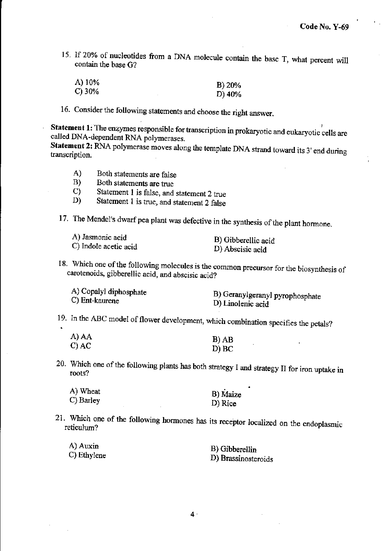**15. If 20% of nucleotides from a DNA molecule contain the base T, what percent will contain the base G?** 

| A) 10%    | B) 20%    |
|-----------|-----------|
| $C$ ) 30% | D) $40\%$ |

**16. Consider the following statements and choose the right answer.** 

**Statement 1: The enzymes responsible for transcription in prokaryotic and eukaryotic cells are**  called DNA-dependent RNA polymerases.

**Statement 2: RNA polymerase moves along the template DNA strand toward its 3' end during transcription.** 

- **A) Both statements are false**
- **B)** Both statements are true<br> **C)** Statement 1 is false, and

s.

- **C) Statement 1 is false, and statement 2 true**
- **D) Statement 1 is true, and statement 2 false**

17. The Mendel's dwarf pea plant was defective in the synthesis of the plant hormone.

| A) Jasmonic acid      | B) Gibberellic acid |
|-----------------------|---------------------|
| C) Indole acetic acid | D) Abscisic acid    |

**18. Which one** of the **following molecules is the common precursor for the biosynthesis of carotenoids, gibberellic acid, and abscisic acid?** 

| B) Geranylgeranyl pyrophosphate<br>D) Linolenic acid |
|------------------------------------------------------|
|                                                      |
|                                                      |

**19. In the ABC model of flower development, which combination specifies the petals?** 

| A) AA   | $B)$ AB |
|---------|---------|
|         |         |
| $C)$ AC | D) BC   |

20. Which one of the following plants bas both strategy I and strategy II for iron uptake in **roots?** 

٠

| A) Wheat  |  | B) Maize |
|-----------|--|----------|
| C) Barley |  |          |
|           |  | D) Rice  |

**21. Which one of the following honnones has its receptor localized on the endoplasmic reticulum?** 

| A) Auxin    | B) Gibberellin      |
|-------------|---------------------|
| C) Ethylene | D) Brassinosteroids |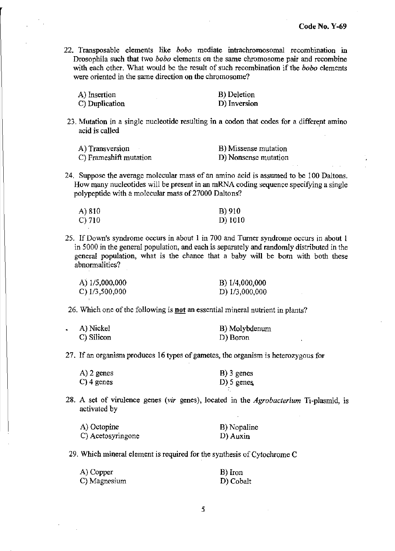22. Transposable elements like *bobo* mediate intrachromosomal recombination in Drosophila such that two *hobo* clements on the same chromosome pair and recombine with each other. What would be the result of such recombination if the *hobo* elements were oriented in the same direction on the chromosome?

| A) Insertion   | B) Deletion  |
|----------------|--------------|
| C) Duplication | D) Inversion |

23. Mutation in a single nucleotide resulting in a codon that codes for a different amino acid is called

| A) Transversion        | B) Missense mutation |
|------------------------|----------------------|
| C) Frameshift mutation | D) Nonsense mutation |

24. Suppose the average molecular mass of an amino acid is assumed to be 100 Daltons. How many nucleotides will be present in an mRNA coding sequence specifying a single polypeptide with a molecular mass of 27000 Daltons?

| A) 810 | B) 910  |
|--------|---------|
| C) 710 | D) 1010 |

25. If Down's syndrome occurs in about 1 in 700 and Turner syndrome occurs in about 1 in 5000 in the general population, and each is separately and randomly distributed in the general population, what is the chance that a baby will be born with both these abnormalities?

| A) 1/5,000,000 | B) 1/4,000,000 |
|----------------|----------------|
| C) 1/3,500,000 | D) 1/3,000,000 |

26. Which one of the following is **not** an essential mineral nutrient in plants?

| A) Nickel  | B) Molybdenum |
|------------|---------------|
| C) Silicon | D) Boron      |

27. If an organism produces 16 types of gametes, the organism is heterozygous for

| A) 2 genes | $B)$ 3 genes |
|------------|--------------|
| C) 4 genes | $D)$ 5 genes |

28. A set of virulence genes *(vir* genes), located in the *Agrobacterium* Ti-plasmid, is activated by

'.

| A) Octopine       | B) Nopaline |
|-------------------|-------------|
| C) Acetosyringone | D) Auxin    |

29. Which mineral element is required for the synthesis of Cytochrome C

| A) Copper    | B) Iron   |
|--------------|-----------|
| C) Magnesium | D) Cobalt |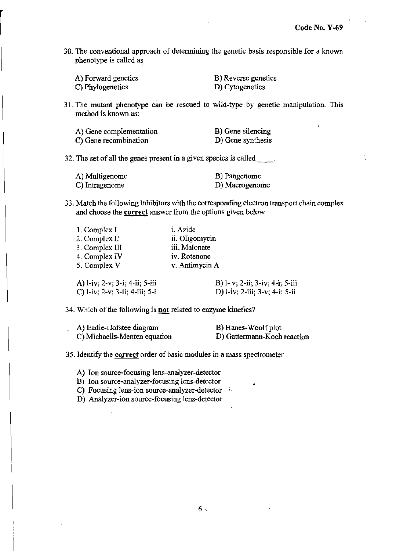$\pmb{\ell}$ 

30. The conventional approach of determining the genetic basis responsible for a known phenotype is called as

| A) Forward genetics | B) Reverse genetics |
|---------------------|---------------------|
| C) Phylogenetics    | D) Cytogenetics     |

31. The mutant phenotype can be rescued to wild-type by genetic manipulation. This method is known as:

| A) Gene complementation | B) Gene silencing |
|-------------------------|-------------------|
| C) Gene recombination   | D) Gene synthesis |

32. The set of all the genes present in a given species is called  $\qquad$ .

| A) Multigenome | B) Pangenome   |
|----------------|----------------|
| C) Intragenome | D) Macrogenome |

33. Match the following inhibitors with the corresponding electron transport chain complex and choose the **correct** answer from the options given below

| 1. Complex I   | i. Azide       |
|----------------|----------------|
| 2. Complex II  | ii. Oligomycin |
| 3. Complex III | iii, Malonate  |
| 4. Complex IV  | iv. Rotenone   |
| 5. Complex V   | v. Antimycin A |
|                |                |

| A) l-iv; 2-v; 3-i; 4-ii; 5-iii | B) l- v; 2-ii; 3-iv; 4-i; 5-iii |
|--------------------------------|---------------------------------|
| C) l-iv; 2-v; 3-ii; 4-iii; 5-i | D) l-iv; 2-iii; 3-v; 4-i; 5-ii  |

34. Which of the following is not related to enzyme kinetics?

| A) Eadie-Hofstee diagram     | B) Hanes-Woolf plot         |
|------------------------------|-----------------------------|
| C) Michaelis-Menten equation | D) Gattermann-Koch reaction |

35. Identify the correct order of basic modules in a mass spectrometer

A) Ion source-focusing lens-analyzer-detector

B) Ion source-analyzer-focusing lens-detector •

C) Focusing lens-ion source-analyzer-detector

D) Analyzer-ion source-focusing lens-detector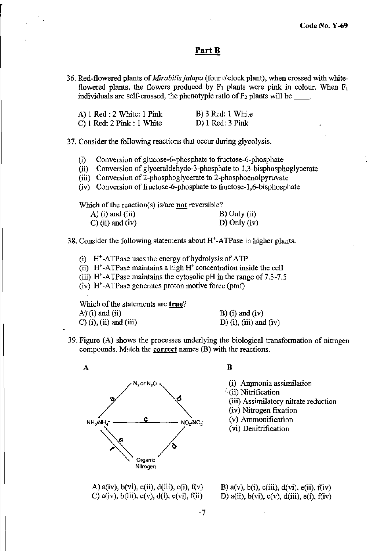# **PartB**

**36. Red-flowered plants of** *Mirabilisjalapa* **(four o'clock plant), when crossed with white**flowered plants, the flowers produced by  $F_1$  plants were pink in colour. When  $F_1$ **individuals are self-crossed, the phenotypic ratio ofF2 plants will be** \_\_ .

| A) 1 Red : 2 White: 1 Pink    | B) 3 Red: 1 White  |
|-------------------------------|--------------------|
| $C$ ) 1 Red: 2 Pink : 1 White | $D)$ 1 Red: 3 Pink |

37. **Consider the following reactions that occur during glycolysis.** 

- **(i) Conversion of glucose-6-phosphate to fructose-6-phosphate**
- (ii) Conversion of glyceraldehyde-3-phosphate to 1,3-bisphosphoglycerate
- **(iii) Conversion of2-phosphoglycerate to 2-phosphoenolpyruvate**
- **(iv) Conversion of fructose-6-phosphate to fructose-l,6-bisphosphate**

**Which** of the **reaction(s) is/are not reversible?** 

| $(A)$ (i) and (iii) | $B)$ Only (ii) |
|---------------------|----------------|
| $C$ ) (ii) and (iv) | $D)$ Only (iv) |

- **38. Consider the following statements about H+ -ATPase in higher plants.** 
	- (i)  $H^*$ -ATP as euses the energy of hydrolysis of ATP
	- (ii)  $H^+$ -ATPase maintains a high  $H^+$  concentration inside the cell
	- **(iii) H+ -ATPase maintains the cytosolic pH in the range of7.3-7.5**
	- **(iv) H+-ATPase generates proton motive force (pmf)**

**Which** of the **statements are true?**   $A'(i)$  and  $(ii)$  $C$ ) (i), (ii) and (iii)

 $B)$  (i) and (iv) D) (i), (iii) and (iv)

**39. Figure (A) shows the processes underlying the biological transfonnation of nitrogen compounds. Match the correct names (B) with the reactions.** 



B

**(i) Anpnonia assimilation** 

- :(ii) Nitrification
- **(iii) Assimilatory nitrate reduction**
- **(iv) Nitrogen fixation**
- (v) Ammonification
- (vi) Denitrification

A)  $a(iv)$ ,  $b(vi)$ ,  $c(ii)$ ,  $d(iii)$ ,  $e(i)$ ,  $f(v)$ C)  $a(iv)$ ,  $b(iii)$ ,  $c(v)$ ,  $d(i)$ ,  $e(vi)$ ,  $f(ii)$ 

B)  $a(v)$ ,  $b(i)$ ,  $c(iii)$ ,  $d(vi)$ ,  $e(ii)$ ,  $f(iv)$ D)  $a(ii)$ ,  $b(vi)$ ,  $c(v)$ ,  $d(iii)$ ,  $e(i)$ ,  $f(iv)$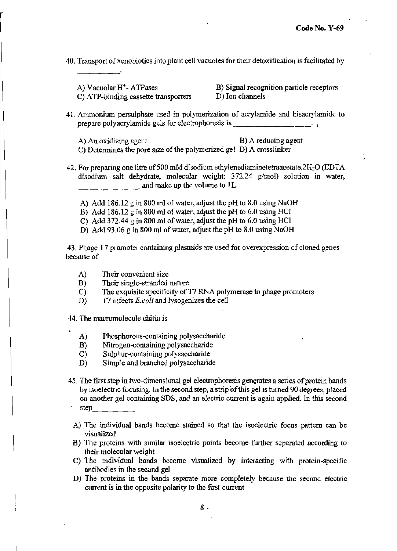**40. Transport ofxenobiotics into plant cell vacuoles for their detoxification is facilitated by** 

A) Vacuolar  $H^+$ - ATPases C) ATP-binding cassette transporters **B) Signal recognition particle receptors**  D) Ion channels

- **41. Ammonium persulphate used in polymerization of acrylamide and bisacrylamide to prepare polyacrylamide gels for electrophoresis is . In prepare polyacrylamide gels for electrophoresis is** 
	- **A) An oxidizing agent**

**C) Detennines the pore size of the polymerized gel**  D) A crosslinker B) A reducing agent

- **42. For preparing one litre of 500 mM disodium ethylenediaminetetraacetate.2H20** (EDT A disodium salt dehydrate, molecular weight: 372.24 g/mol) solution in water,  $\Box$   $\Box$  and make up the volume to 1L.
	- A) Add 186.12 g in 800 ml of water, adjust the pH to 8.0 using NaOH
	- B) Add 186.12 g in 800 ml of water, adjust the pH to  $6.0$  using HCl
	- C) Add  $372.44$  g in 800 ml of water, adjust the pH to 6.0 using HCl
	- D) Add 93.06 g in 800 ml of water, adjust the pH to 8.0 using NaOH

**43. Phage T7 promoter containing plasmids are used for overexpression of cloned genes because of** 

- **A) Their convenient size**
- B) Their single-stranded nature
- C) The exquisite specificity of T7 RNA polymerase to phage promoters
- D) T7 infects *E.coli* and lysogenizes the cell
- **44. The macromolecule chitin is** 
	- A) Phosphorous-containing polysaccharide
	- B) Nitrogen-containing polysaccharide
	- e) Sulphur-containing polysaccharide
	- D) Simple and branched polysaccharide
- **45. The first step in two-dimensional gel electrophoresis generates a series** of protein **bands by isoeIectric focusing. In the second step. a strip** of this **gel is turned 90 degrees, placed**  on another gel containing SDS, and an electric current is again applied. In this second step \_\_\_\_\_\_\_\_
	- **A) The individual bands become stained so that the isoelectric focus pattern can be visualized**
	- **B) The proteins with similar isoelectric points become further separated according to their molecular weight**
	- **C) The individual bands become visualized by interacting with protein-specific antibodies in the second gel**
	- **D) The proteins in the bands separate more completely because the second electric current is in the opposite polarity to the first current**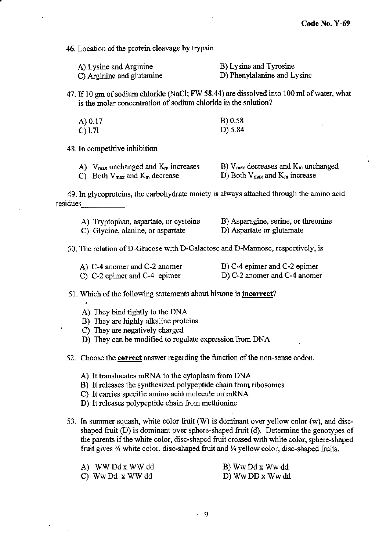$\mathbf{I}$ 

**46. Location of the protein cleavage by trypsin** 

| A) Lysine and Arginine    | B) Lysine and Tyrosine      |
|---------------------------|-----------------------------|
| C) Arginine and glutamine | D) Phenylalanine and Lysine |

47. If 10 gm of sodium chloride (NaCl; FW 58.44) are dissolved into 100 ml of water, what **is the molar concentration of sodium chloride in the solution?** 

| A) 0.17 | B) 0.58 |
|---------|---------|
| C) 1.71 | D) 5.84 |

**48. In competitive inhibition** 

| A) $V_{\text{max}}$ unchanged and $K_{\text{m}}$ increases | B) $V_{\text{max}}$ decreases and $K_{\text{m}}$ unchanged |
|------------------------------------------------------------|------------------------------------------------------------|
| C) Both $V_{\text{max}}$ and $K_{\text{m}}$ decrease       | D) Both $V_{\text{max}}$ and $K_{\text{m}}$ increase       |

**49. In glycoproteins, the carbohydrate moiety is always attached through the amino acid**  residues

| A) Tryptophan, aspartate, or cysteine | B) Asparagine, serine, or threonine |
|---------------------------------------|-------------------------------------|
| C) Glycine, alanine, or aspartate     | D) Aspartate or glutamate           |

**50, The relation ofD-Glucose with D-Galactose and D-Mannose, respectively, is** 

| A) C-4 anomer and C-2 anomer    | B) C-4 epimer and C-2 epimer |
|---------------------------------|------------------------------|
| $C$ ) C-2 epimer and C-4 epimer | D) C-2 anomer and C-4 anomer |

#### **51. Which of the following statements about histone is incorrect?**

- A) They bind tightly to the DNA
- B) They are highly alkaline proteins
- C) They are negatively charged
- D) They can be modified to regulate expression from DNA

**52. Choose the correct answer regarding the function** of the **non-sense codon.** 

- A) It translocates mRNA to the cytoplasm from DNA
- **B) It releases the synthesized polypeptide chain from. ribosomes**
- **C) It carries specific amino acid molecule on:mRNA**
- **D) It releases polypeptide chain from methionine**
- **53. In summer squash, white color fruit (W) is dominant over yellow color (w), and disc**shaped fruit (D) is dominant over sphere-shaped fruit (d). Determine the genotypes of **the parents** if the **white color, disc-shaped fruit crossed with white color, sphere-shaped**  fruit gives <sup>3</sup>/<sub>4</sub> white color, disc-shaped fruit and <sup>1</sup>/<sub>4</sub> yellow color, disc-shaped fruits.

| A) WW Dd x WW dd | B) Ww Dd x Ww dd |
|------------------|------------------|
| C) Ww Dd x WW dd | D) Ww DD x Ww dd |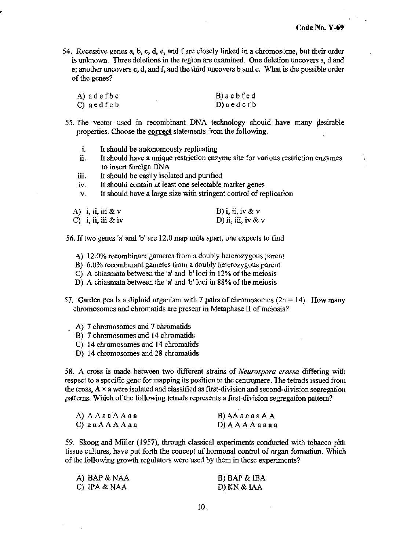54. Recessive genes a, b, c, d, e, and f are closely linked in a chromosome, but their order is unknown. Three deletions in the region are examined. One deletion uncovers a, d and e; another uncovers c, d, and f, and the third uncovers b and c. What is the possible order of the genes?

| A) adefbc    | B) a c b f e d   |
|--------------|------------------|
| C) aed f c b | $D)$ a e d c f b |

- 55. The vector used in recombinant DNA technology should have many desirable properties. Choose the **correct** statements from the following.
	- 1. It should be autonomously replicating
	- ii. It should have a unique restriction enzyme site for various restriction enzymes to insert foreign DNA
	- iii. It should be easily isolated and purified
	- iv. It should contain at least one selectable marker genes
	- v. It should have a large size with stringent control of replication

| A) i, ii, iii & v  | B) i, ii, iv & $v$   |
|--------------------|----------------------|
| C) i, ii, iii & iv | D) ii, iii, iv & $v$ |

56. If two genes 'a' and 'b' are 12.0 map units apart. one expects to fmd

- A) 12.0% recombinant gametes from a doubly heterozygous parent
- B) 6.0% recombinant gametes from a doubly heterozygous parent
- C) A chiasmata between the 'a' and 'h' loci in 12% of the meiosis
- D) A chiasmata between the 'a' and 'b' loci in 88% of the meiosis
- 57. Garden pea is a diploid organism with 7 pairs of chromosomes  $(2n = 14)$ . How many chromosomes and chromatids are present in Metaphase II of meiosis?
	- A) 7 chromosomes and 7 chromatids
	- B) 7 chromosomes and 14 chromatids
	- C) 14 chromosomes and 14 chromatids
	- D) 14 chromosomes and 28 chromatids

58. A cross is made between two different strains of *Neurospora crassa* differing with respect to a specific gene for mapping its position to the centromere. The tetrads issued from the cross,  $A \times a$  were isolated and classified as first-division and second-division segregation patterns. Which of the following tetrads represents a first-division segregation pattern?

| A) A A a a A A a a | B) AA a a a a A A  |
|--------------------|--------------------|
| C) a a A A A A a a | D) A A A A a a a a |

59. Skoog and Miller (1957), through classical experiments conducted with tobacco pith tissue cultures, have put forth the concept of hormonal control of organ formation. Which of the following growth regulators were used by them in these experiments?

| A) BAP & NAA   | B) BAP & IBA |
|----------------|--------------|
| C) IPA $& NAA$ | D) KN & IAA  |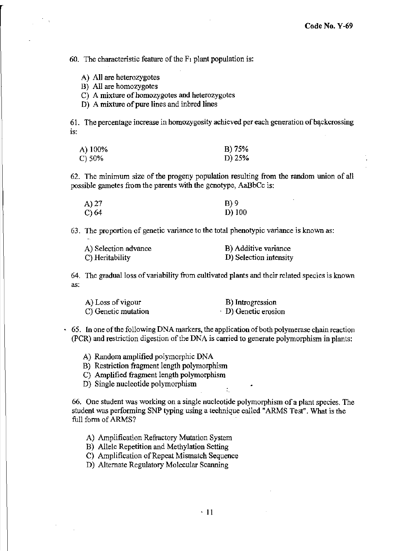60. The characteristic feature of the  $F_1$  plant population is:

- A) All are heterozygotes
- B) All are homozygotes
- C) A mixture of homozygotes and heterozygotes
- D) A mixture of pure lines and inbred lines

61. The percentage increase in homozygosity achieved per each generation of backcrossing is:

| A) 100% | B) 75% |
|---------|--------|
| C) 50%  | D) 25% |

62. The minimum size of the progeny population resulting from the random union of all possible gametes from the parents with the genotype, AaBbCc is:

| A) 27 | B)9      |
|-------|----------|
| C) 64 | $D)$ 100 |

63. The proportion of genetic variance to the total phenotypic variance is known as:

| A) Selection advance | B) Additive variance   |
|----------------------|------------------------|
| C) Heritability      | D) Selection intensity |

64. The gradual loss of variability from cultivated plants and their related species is known as:

| A) Loss of vigour   | B) Introgression     |
|---------------------|----------------------|
| C) Genetic mutation | · D) Genetic erosion |

- $\cdot$  65. In one of the following DNA markers, the application of both polymerase chain reaction (peR) and restriction digestion of the DNA is carried to generate polymorphism in plants:
	- A) Random amplified polymorphic DNA
	- B) Restriction fragment length polymorphism
	- e) Amplified fragment length polymorphism
	- D) Single nucleotide polymorphism .

66. One student was working on a single nucleotide polymorphism of a plant species. The student was performing SNP typing using a technique called "ARMS Test". What is the full form of ARMS?

.

- A) Amplification Refractory Mutation System
- B) Allele Repetition and Methylation Setting
- C) Amplification of Repeat Mismatch Sequence
- D) Alternate Regulatory Molecular Scanning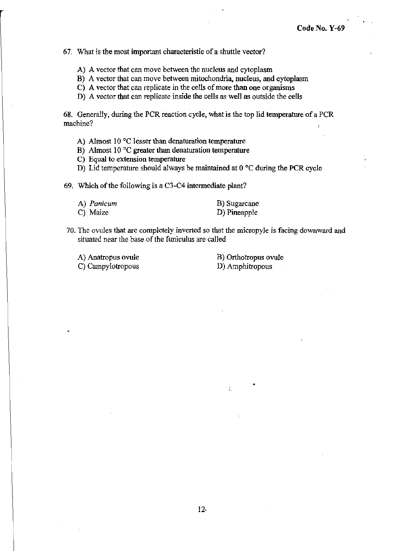#### **67. What is the most important characteristic of a shuttle vector?**

- **A) A vector that can move between the nucleus and cytoplasm**
- **B) A vector that can move between mitochondria, nucleus, and cytoplasm**
- **C) A vector that can replicate in the cells** of more **than one organisms**
- **D) A vector that can replicate inside the cells as well as outside the cells**

68. Generally, during the PCR reaction cycle, what is the top lid temperature of a PCR **machine?** 

- **A) Almost 10 °C lesser than denaturation temperature**
- **B) Almost 10°C greater than denaturation temperature**
- **C) Equal to extension temperature**
- **D)** Lid temperature should always be maintained at 0 °C during the PCR cycle

69. Which of the following is a C3-C4 intermediate plant?

| A) Panicum | B) Sugarcane |
|------------|--------------|
| C) Maize   | D) Pineapple |

**70. The ovules that are completely inverted so that the micropyle is facing downward and situated near the base of the funiculus are called** 

A) Anatropus ovule C) Campylotropous B) Orthotropus ovule D) Amphitropous

÷,